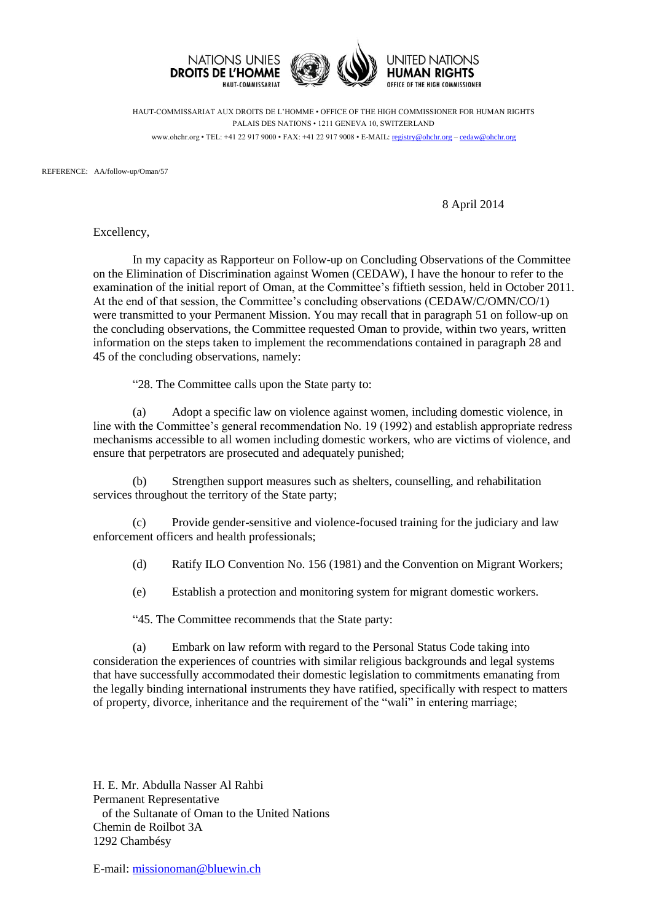

HAUT-COMMISSARIAT AUX DROITS DE L'HOMME • OFFICE OF THE HIGH COMMISSIONER FOR HUMAN RIGHTS PALAIS DES NATIONS • 1211 GENEVA 10, SWITZERLAND www.ohchr.org • TEL: +41 22 917 9000 • FAX: +41 22 917 9008 • E-MAIL: [registry@ohchr.org](mailto:registry@ohchr.org) – [cedaw@ohchr.org](mailto:cedaw@ohchr.org)

REFERENCE: AA/follow-up/Oman/57

8 April 2014

Excellency,

In my capacity as Rapporteur on Follow-up on Concluding Observations of the Committee on the Elimination of Discrimination against Women (CEDAW), I have the honour to refer to the examination of the initial report of Oman, at the Committee's fiftieth session, held in October 2011. At the end of that session, the Committee's concluding observations (CEDAW/C/OMN/CO/1) were transmitted to your Permanent Mission. You may recall that in paragraph 51 on follow-up on the concluding observations, the Committee requested Oman to provide, within two years, written information on the steps taken to implement the recommendations contained in paragraph 28 and 45 of the concluding observations, namely:

"28. The Committee calls upon the State party to:

(a) Adopt a specific law on violence against women, including domestic violence, in line with the Committee's general recommendation No. 19 (1992) and establish appropriate redress mechanisms accessible to all women including domestic workers, who are victims of violence, and ensure that perpetrators are prosecuted and adequately punished;

(b) Strengthen support measures such as shelters, counselling, and rehabilitation services throughout the territory of the State party;

(c) Provide gender-sensitive and violence-focused training for the judiciary and law enforcement officers and health professionals;

(d) Ratify ILO Convention No. 156 (1981) and the Convention on Migrant Workers;

(e) Establish a protection and monitoring system for migrant domestic workers.

"45. The Committee recommends that the State party:

(a) Embark on law reform with regard to the Personal Status Code taking into consideration the experiences of countries with similar religious backgrounds and legal systems that have successfully accommodated their domestic legislation to commitments emanating from the legally binding international instruments they have ratified, specifically with respect to matters of property, divorce, inheritance and the requirement of the "wali" in entering marriage;

H. E. Mr. Abdulla Nasser Al Rahbi Permanent Representative of the Sultanate of Oman to the United Nations Chemin de Roilbot 3A 1292 Chambésy

E-mail: [missionoman@bluewin.ch](mailto:missionoman@bluewin.ch)